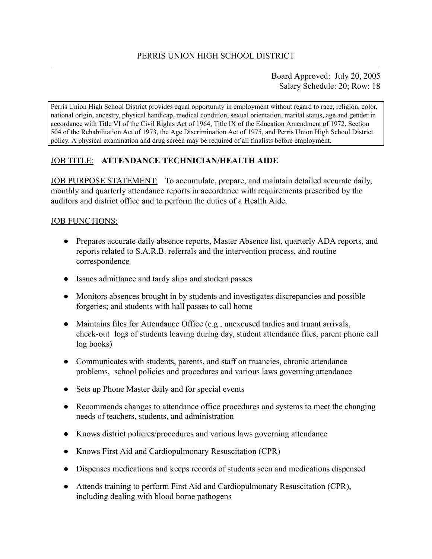Board Approved: July 20, 2005 Salary Schedule: 20; Row: 18

Perris Union High School District provides equal opportunity in employment without regard to race, religion, color, national origin, ancestry, physical handicap, medical condition, sexual orientation, marital status, age and gender in accordance with Title VI of the Civil Rights Act of 1964, Title IX of the Education Amendment of 1972, Section 504 of the Rehabilitation Act of 1973, the Age Discrimination Act of 1975, and Perris Union High School District policy. A physical examination and drug screen may be required of all finalists before employment.

## JOB TITLE: **ATTENDANCE TECHNICIAN/HEALTH AIDE**

JOB PURPOSE STATEMENT: To accumulate, prepare, and maintain detailed accurate daily, monthly and quarterly attendance reports in accordance with requirements prescribed by the auditors and district office and to perform the duties of a Health Aide.

#### JOB FUNCTIONS:

- Prepares accurate daily absence reports, Master Absence list, quarterly ADA reports, and reports related to S.A.R.B. referrals and the intervention process, and routine correspondence
- Issues admittance and tardy slips and student passes
- Monitors absences brought in by students and investigates discrepancies and possible forgeries; and students with hall passes to call home
- $\bullet$  Maintains files for Attendance Office (e.g., unexcused tardies and truant arrivals, check-out logs of students leaving during day, student attendance files, parent phone call log books)
- Communicates with students, parents, and staff on truancies, chronic attendance problems, school policies and procedures and various laws governing attendance
- Sets up Phone Master daily and for special events
- Recommends changes to attendance office procedures and systems to meet the changing needs of teachers, students, and administration
- Knows district policies/procedures and various laws governing attendance
- Knows First Aid and Cardiopulmonary Resuscitation (CPR)
- Dispenses medications and keeps records of students seen and medications dispensed
- Attends training to perform First Aid and Cardiopulmonary Resuscitation (CPR), including dealing with blood borne pathogens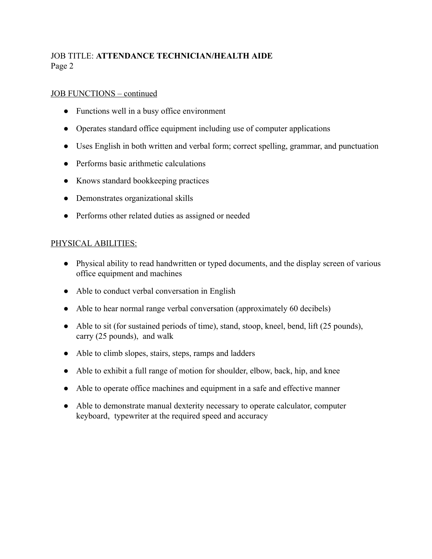# JOB TITLE: **ATTENDANCE TECHNICIAN/HEALTH AIDE** Page 2

### JOB FUNCTIONS – continued

- Functions well in a busy office environment
- Operates standard office equipment including use of computer applications
- Uses English in both written and verbal form; correct spelling, grammar, and punctuation
- Performs basic arithmetic calculations
- Knows standard bookkeeping practices
- Demonstrates organizational skills
- Performs other related duties as assigned or needed

### PHYSICAL ABILITIES:

- Physical ability to read handwritten or typed documents, and the display screen of various office equipment and machines
- Able to conduct verbal conversation in English
- Able to hear normal range verbal conversation (approximately 60 decibels)
- Able to sit (for sustained periods of time), stand, stoop, kneel, bend, lift (25 pounds), carry (25 pounds), and walk
- Able to climb slopes, stairs, steps, ramps and ladders
- Able to exhibit a full range of motion for shoulder, elbow, back, hip, and knee
- Able to operate office machines and equipment in a safe and effective manner
- Able to demonstrate manual dexterity necessary to operate calculator, computer keyboard, typewriter at the required speed and accuracy